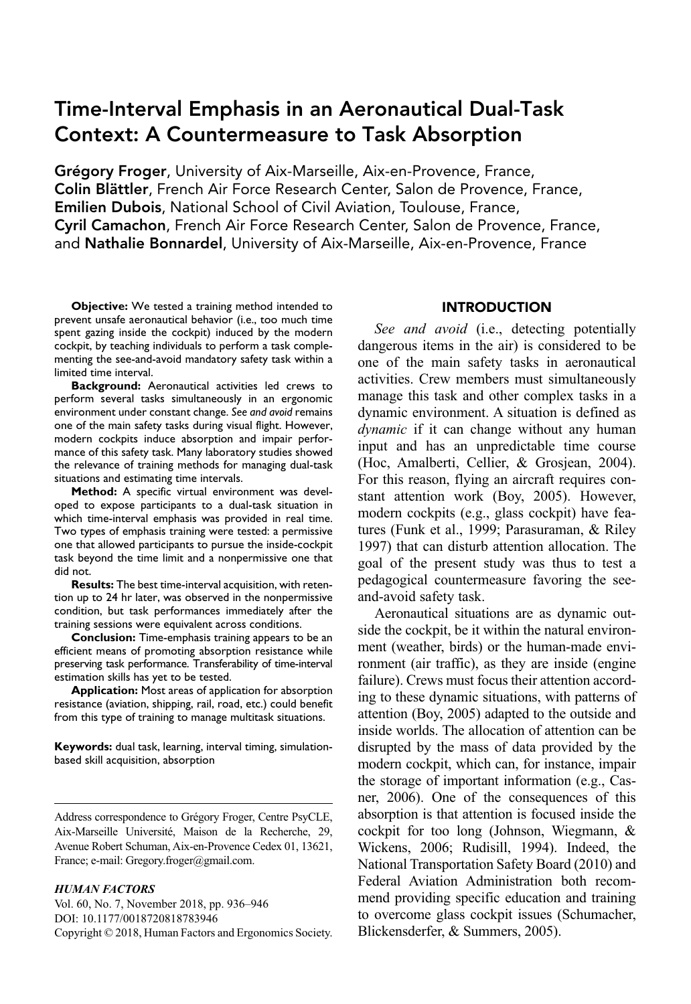# Time-Interval Emphasis in an Aeronautical Dual-Task Context: A Countermeasure to Task Absorption

Grégory Froger, University of Aix-Marseille, Aix-en-Provence, France, Colin Blättler, French Air Force Research Center, Salon de Provence, France, Emilien Dubois, National School of Civil Aviation, Toulouse, France, Cyril Camachon, French Air Force Research Center, Salon de Provence, France, and Nathalie Bonnardel, University of Aix-Marseille, Aix-en-Provence, France

**Objective:** We tested a training method intended to prevent unsafe aeronautical behavior (i.e., too much time spent gazing inside the cockpit) induced by the modern cockpit, by teaching individuals to perform a task complementing the see-and-avoid mandatory safety task within a limited time interval.

**Background:** Aeronautical activities led crews to perform several tasks simultaneously in an ergonomic environment under constant change. *See and avoid* remains one of the main safety tasks during visual flight. However, modern cockpits induce absorption and impair performance of this safety task. Many laboratory studies showed the relevance of training methods for managing dual-task situations and estimating time intervals.

**Method:** A specific virtual environment was developed to expose participants to a dual-task situation in which time-interval emphasis was provided in real time. Two types of emphasis training were tested: a permissive one that allowed participants to pursue the inside-cockpit task beyond the time limit and a nonpermissive one that did not.

**Results:** The best time-interval acquisition, with retention up to 24 hr later, was observed in the nonpermissive condition, but task performances immediately after the training sessions were equivalent across conditions.

**Conclusion:** Time-emphasis training appears to be an efficient means of promoting absorption resistance while preserving task performance. Transferability of time-interval estimation skills has yet to be tested.

**Application:** Most areas of application for absorption resistance (aviation, shipping, rail, road, etc.) could benefit from this type of training to manage multitask situations.

**Keywords:** dual task, learning, interval timing, simulationbased skill acquisition, absorption

#### *HUMAN FACTORS*

Vol. 60, No. 7, November 2018, pp. 936–946 [DOI: 10.1177/0018720818783946](https://doi.org/10.1177/0018720818783946) Copyright © 2018, Human Factors and Ergonomics Society.

## INTRODUCTION

*See and avoid* (i.e., detecting potentially dangerous items in the air) is considered to be one of the main safety tasks in aeronautical activities. Crew members must simultaneously manage this task and other complex tasks in a dynamic environment. A situation is defined as *dynamic* if it can change without any human input and has an unpredictable time course (Hoc, Amalberti, Cellier, & Grosjean, 2004). For this reason, flying an aircraft requires constant attention work (Boy, 2005). However, modern cockpits (e.g., glass cockpit) have features (Funk et al., 1999; Parasuraman, & Riley 1997) that can disturb attention allocation. The goal of the present study was thus to test a pedagogical countermeasure favoring the seeand-avoid safety task.

Aeronautical situations are as dynamic outside the cockpit, be it within the natural environment (weather, birds) or the human-made environment (air traffic), as they are inside (engine failure). Crews must focus their attention according to these dynamic situations, with patterns of attention (Boy, 2005) adapted to the outside and inside worlds. The allocation of attention can be disrupted by the mass of data provided by the modern cockpit, which can, for instance, impair the storage of important information (e.g., Casner, 2006). One of the consequences of this absorption is that attention is focused inside the cockpit for too long (Johnson, Wiegmann, & Wickens, 2006; Rudisill, 1994). Indeed, the National Transportation Safety Board (2010) and Federal Aviation Administration both recommend providing specific education and training to overcome glass cockpit issues (Schumacher, Blickensderfer, & Summers, 2005).

Address correspondence to Grégory Froger, Centre PsyCLE, Aix-Marseille Université, Maison de la Recherche, 29, Avenue Robert Schuman, Aix-en-Provence Cedex 01, 13621, France; e-mail: Gregory.froger@gmail.com.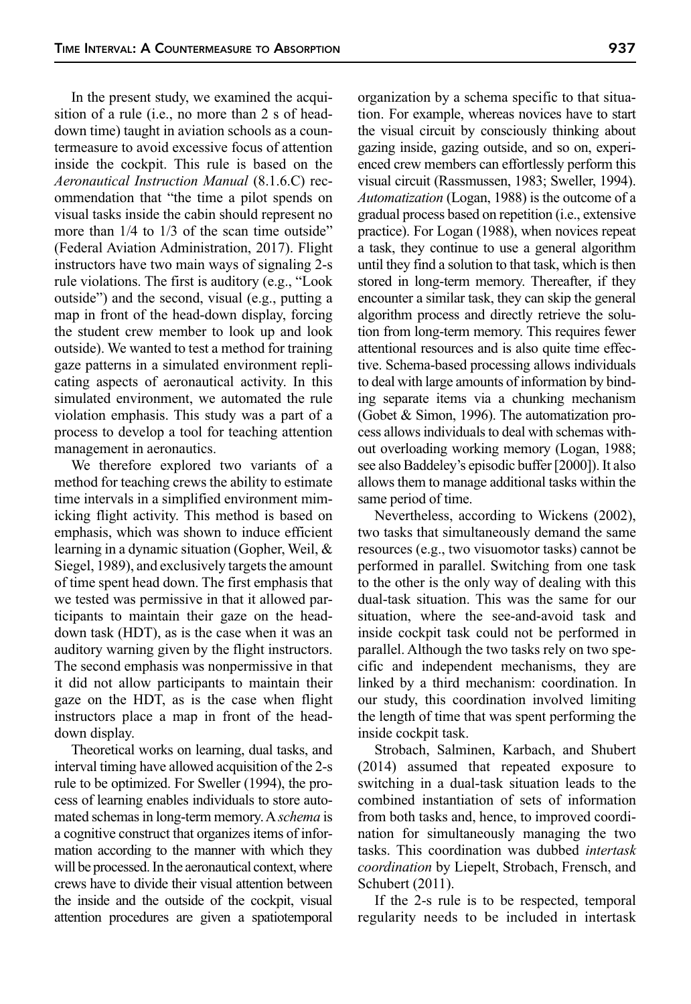In the present study, we examined the acquisition of a rule (i.e., no more than 2 s of headdown time) taught in aviation schools as a countermeasure to avoid excessive focus of attention inside the cockpit. This rule is based on the *Aeronautical Instruction Manual* (8.1.6.C) recommendation that "the time a pilot spends on visual tasks inside the cabin should represent no more than  $1/4$  to  $1/3$  of the scan time outside" (Federal Aviation Administration, 2017). Flight instructors have two main ways of signaling 2-s rule violations. The first is auditory (e.g., "Look outside") and the second, visual (e.g., putting a map in front of the head-down display, forcing the student crew member to look up and look outside). We wanted to test a method for training gaze patterns in a simulated environment replicating aspects of aeronautical activity. In this simulated environment, we automated the rule violation emphasis. This study was a part of a process to develop a tool for teaching attention management in aeronautics.

We therefore explored two variants of a method for teaching crews the ability to estimate time intervals in a simplified environment mimicking flight activity. This method is based on emphasis, which was shown to induce efficient learning in a dynamic situation (Gopher, Weil, & Siegel, 1989), and exclusively targets the amount of time spent head down. The first emphasis that we tested was permissive in that it allowed participants to maintain their gaze on the headdown task (HDT), as is the case when it was an auditory warning given by the flight instructors. The second emphasis was nonpermissive in that it did not allow participants to maintain their gaze on the HDT, as is the case when flight instructors place a map in front of the headdown display.

Theoretical works on learning, dual tasks, and interval timing have allowed acquisition of the 2-s rule to be optimized. For Sweller (1994), the process of learning enables individuals to store automated schemas in long-term memory. A *schema* is a cognitive construct that organizes items of information according to the manner with which they will be processed. In the aeronautical context, where crews have to divide their visual attention between the inside and the outside of the cockpit, visual attention procedures are given a spatiotemporal organization by a schema specific to that situation. For example, whereas novices have to start the visual circuit by consciously thinking about gazing inside, gazing outside, and so on, experienced crew members can effortlessly perform this visual circuit (Rassmussen, 1983; Sweller, 1994). *Automatization* (Logan, 1988) is the outcome of a gradual process based on repetition (i.e., extensive practice). For Logan (1988), when novices repeat a task, they continue to use a general algorithm until they find a solution to that task, which is then stored in long-term memory. Thereafter, if they encounter a similar task, they can skip the general algorithm process and directly retrieve the solution from long-term memory. This requires fewer attentional resources and is also quite time effective. Schema-based processing allows individuals to deal with large amounts of information by binding separate items via a chunking mechanism (Gobet & Simon, 1996). The automatization process allows individuals to deal with schemas without overloading working memory (Logan, 1988; see also Baddeley's episodic buffer [2000]). It also allows them to manage additional tasks within the same period of time.

Nevertheless, according to Wickens (2002), two tasks that simultaneously demand the same resources (e.g., two visuomotor tasks) cannot be performed in parallel. Switching from one task to the other is the only way of dealing with this dual-task situation. This was the same for our situation, where the see-and-avoid task and inside cockpit task could not be performed in parallel. Although the two tasks rely on two specific and independent mechanisms, they are linked by a third mechanism: coordination. In our study, this coordination involved limiting the length of time that was spent performing the inside cockpit task.

Strobach, Salminen, Karbach, and Shubert (2014) assumed that repeated exposure to switching in a dual-task situation leads to the combined instantiation of sets of information from both tasks and, hence, to improved coordination for simultaneously managing the two tasks. This coordination was dubbed *intertask coordination* by Liepelt, Strobach, Frensch, and Schubert (2011).

If the 2-s rule is to be respected, temporal regularity needs to be included in intertask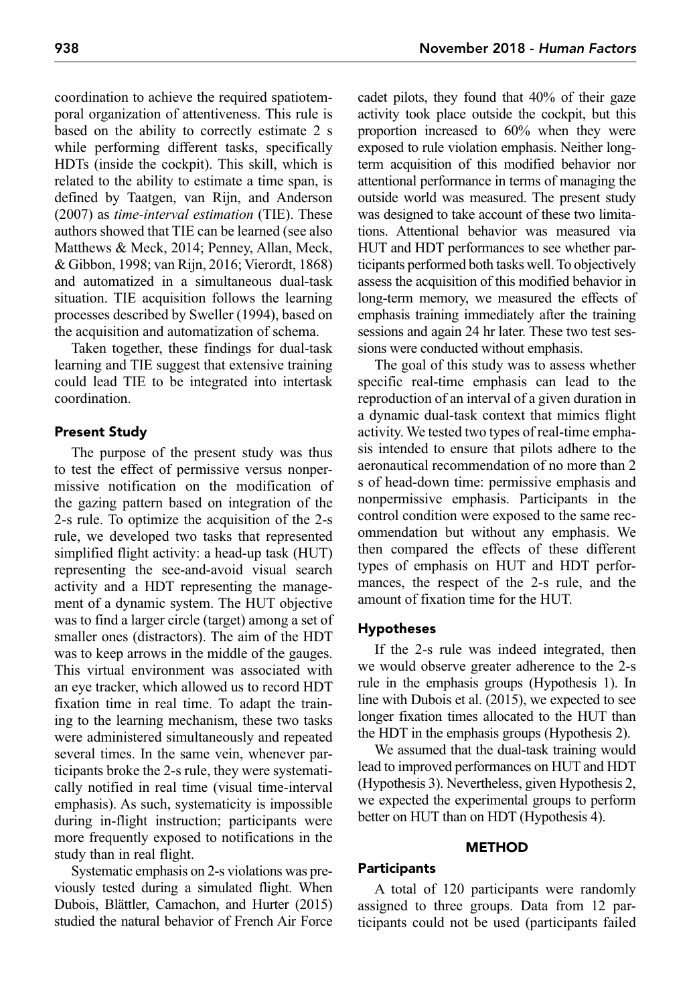coordination to achieve the required spatiotemporal organization of attentiveness. This rule is based on the ability to correctly estimate 2 s while performing different tasks, specifically HDTs (inside the cockpit). This skill, which is related to the ability to estimate a time span, is defined by Taatgen, van Rijn, and Anderson (2007) as *time-interval estimation* (TIE). These authors showed that TIE can be learned (see also Matthews & Meck, 2014; Penney, Allan, Meck, & Gibbon, 1998; van Rijn, 2016; Vierordt, 1868) and automatized in a simultaneous dual-task situation. TIE acquisition follows the learning processes described by Sweller (1994), based on the acquisition and automatization of schema.

Taken together, these findings for dual-task learning and TIE suggest that extensive training could lead TIE to be integrated into intertask coordination.

# Present Study

The purpose of the present study was thus to test the effect of permissive versus nonpermissive notification on the modification of the gazing pattern based on integration of the 2-s rule. To optimize the acquisition of the 2-s rule, we developed two tasks that represented simplified flight activity: a head-up task (HUT) representing the see-and-avoid visual search activity and a HDT representing the management of a dynamic system. The HUT objective was to find a larger circle (target) among a set of smaller ones (distractors). The aim of the HDT was to keep arrows in the middle of the gauges. This virtual environment was associated with an eye tracker, which allowed us to record HDT fixation time in real time. To adapt the training to the learning mechanism, these two tasks were administered simultaneously and repeated several times. In the same vein, whenever participants broke the 2-s rule, they were systematically notified in real time (visual time-interval emphasis). As such, systematicity is impossible during in-flight instruction; participants were more frequently exposed to notifications in the study than in real flight.

Systematic emphasis on 2-s violations was previously tested during a simulated flight. When Dubois, Blättler, Camachon, and Hurter (2015) studied the natural behavior of French Air Force

cadet pilots, they found that 40% of their gaze activity took place outside the cockpit, but this proportion increased to 60% when they were exposed to rule violation emphasis. Neither longterm acquisition of this modified behavior nor attentional performance in terms of managing the outside world was measured. The present study was designed to take account of these two limitations. Attentional behavior was measured via HUT and HDT performances to see whether participants performed both tasks well. To objectively assess the acquisition of this modified behavior in long-term memory, we measured the effects of emphasis training immediately after the training sessions and again 24 hr later. These two test sessions were conducted without emphasis.

The goal of this study was to assess whether specific real-time emphasis can lead to the reproduction of an interval of a given duration in a dynamic dual-task context that mimics flight activity. We tested two types of real-time emphasis intended to ensure that pilots adhere to the aeronautical recommendation of no more than 2 s of head-down time: permissive emphasis and nonpermissive emphasis. Participants in the control condition were exposed to the same recommendation but without any emphasis. We then compared the effects of these different types of emphasis on HUT and HDT performances, the respect of the 2-s rule, and the amount of fixation time for the HUT.

## Hypotheses

If the 2-s rule was indeed integrated, then we would observe greater adherence to the 2-s rule in the emphasis groups (Hypothesis 1). In line with Dubois et al. (2015), we expected to see longer fixation times allocated to the HUT than the HDT in the emphasis groups (Hypothesis 2).

We assumed that the dual-task training would lead to improved performances on HUT and HDT (Hypothesis 3). Nevertheless, given Hypothesis 2, we expected the experimental groups to perform better on HUT than on HDT (Hypothesis 4).

# **METHOD**

# **Participants**

A total of 120 participants were randomly assigned to three groups. Data from 12 participants could not be used (participants failed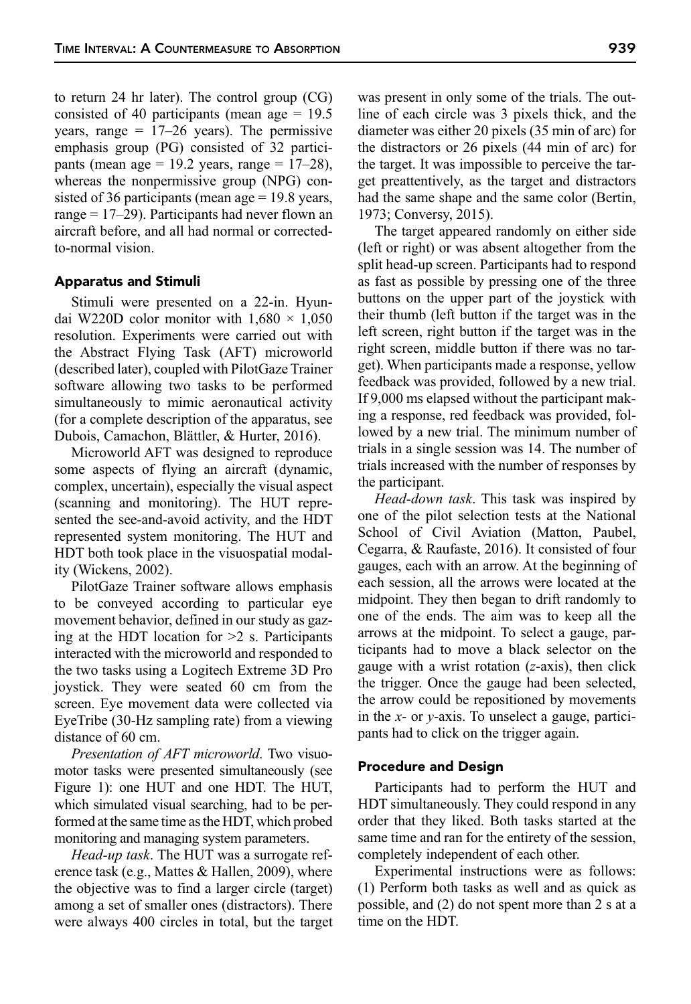to return 24 hr later). The control group (CG) consisted of 40 participants (mean age = 19.5 years, range  $= 17-26$  years). The permissive emphasis group (PG) consisted of 32 participants (mean age = 19.2 years, range =  $17-28$ ), whereas the nonpermissive group (NPG) consisted of 36 participants (mean age = 19.8 years, range = 17–29). Participants had never flown an aircraft before, and all had normal or correctedto-normal vision.

#### Apparatus and Stimuli

Stimuli were presented on a 22-in. Hyundai W220D color monitor with  $1,680 \times 1,050$ resolution. Experiments were carried out with the Abstract Flying Task (AFT) microworld (described later), coupled with PilotGaze Trainer software allowing two tasks to be performed simultaneously to mimic aeronautical activity (for a complete description of the apparatus, see Dubois, Camachon, Blättler, & Hurter, 2016).

Microworld AFT was designed to reproduce some aspects of flying an aircraft (dynamic, complex, uncertain), especially the visual aspect (scanning and monitoring). The HUT represented the see-and-avoid activity, and the HDT represented system monitoring. The HUT and HDT both took place in the visuospatial modality (Wickens, 2002).

PilotGaze Trainer software allows emphasis to be conveyed according to particular eye movement behavior, defined in our study as gazing at the HDT location for  $\geq 2$  s. Participants interacted with the microworld and responded to the two tasks using a Logitech Extreme 3D Pro joystick. They were seated 60 cm from the screen. Eye movement data were collected via EyeTribe (30-Hz sampling rate) from a viewing distance of 60 cm.

*Presentation of AFT microworld*. Two visuomotor tasks were presented simultaneously (see Figure 1): one HUT and one HDT. The HUT, which simulated visual searching, had to be performed at the same time as the HDT, which probed monitoring and managing system parameters.

*Head-up task*. The HUT was a surrogate reference task (e.g., Mattes & Hallen, 2009), where the objective was to find a larger circle (target) among a set of smaller ones (distractors). There were always 400 circles in total, but the target

was present in only some of the trials. The outline of each circle was 3 pixels thick, and the diameter was either 20 pixels (35 min of arc) for the distractors or 26 pixels (44 min of arc) for the target. It was impossible to perceive the target preattentively, as the target and distractors had the same shape and the same color (Bertin, 1973; Conversy, 2015).

The target appeared randomly on either side (left or right) or was absent altogether from the split head-up screen. Participants had to respond as fast as possible by pressing one of the three buttons on the upper part of the joystick with their thumb (left button if the target was in the left screen, right button if the target was in the right screen, middle button if there was no target). When participants made a response, yellow feedback was provided, followed by a new trial. If 9,000 ms elapsed without the participant making a response, red feedback was provided, followed by a new trial. The minimum number of trials in a single session was 14. The number of trials increased with the number of responses by the participant.

*Head-down task*. This task was inspired by one of the pilot selection tests at the National School of Civil Aviation (Matton, Paubel, Cegarra, & Raufaste, 2016). It consisted of four gauges, each with an arrow. At the beginning of each session, all the arrows were located at the midpoint. They then began to drift randomly to one of the ends. The aim was to keep all the arrows at the midpoint. To select a gauge, participants had to move a black selector on the gauge with a wrist rotation (*z*-axis), then click the trigger. Once the gauge had been selected, the arrow could be repositioned by movements in the *x*- or *y*-axis. To unselect a gauge, participants had to click on the trigger again.

#### Procedure and Design

Participants had to perform the HUT and HDT simultaneously. They could respond in any order that they liked. Both tasks started at the same time and ran for the entirety of the session, completely independent of each other.

Experimental instructions were as follows: (1) Perform both tasks as well and as quick as possible, and (2) do not spent more than 2 s at a time on the HDT.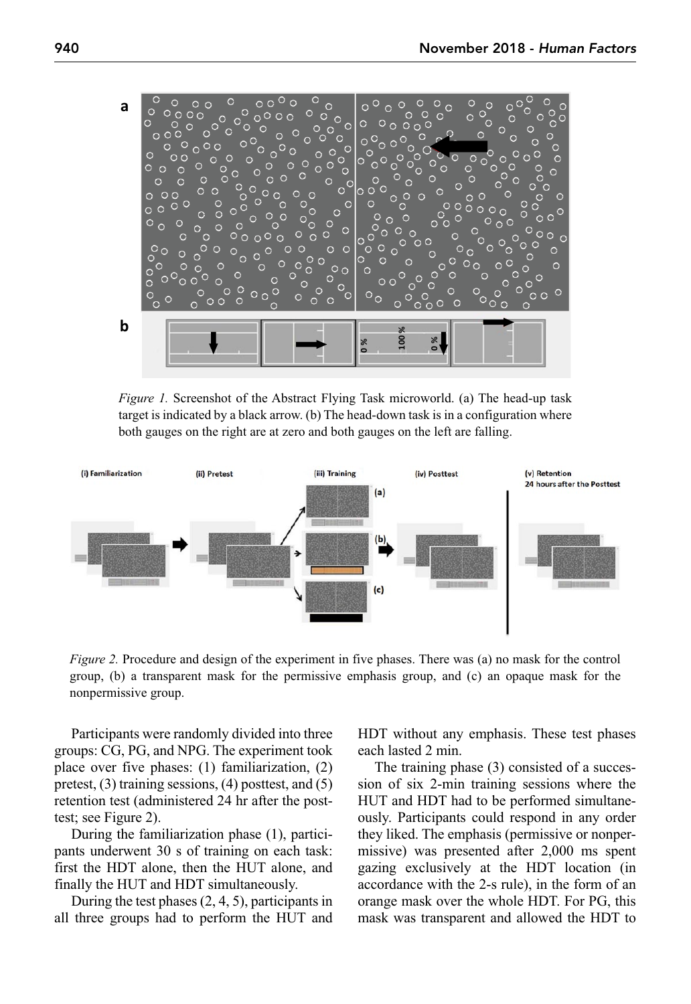

*Figure 1.* Screenshot of the Abstract Flying Task microworld. (a) The head-up task target is indicated by a black arrow. (b) The head-down task is in a configuration where both gauges on the right are at zero and both gauges on the left are falling.



*Figure 2.* Procedure and design of the experiment in five phases. There was (a) no mask for the control group, (b) a transparent mask for the permissive emphasis group, and (c) an opaque mask for the nonpermissive group.

Participants were randomly divided into three groups: CG, PG, and NPG. The experiment took place over five phases: (1) familiarization, (2) pretest, (3) training sessions, (4) posttest, and (5) retention test (administered 24 hr after the posttest; see Figure 2).

During the familiarization phase (1), participants underwent 30 s of training on each task: first the HDT alone, then the HUT alone, and finally the HUT and HDT simultaneously.

During the test phases (2, 4, 5), participants in all three groups had to perform the HUT and HDT without any emphasis. These test phases each lasted 2 min.

The training phase (3) consisted of a succession of six 2-min training sessions where the HUT and HDT had to be performed simultaneously. Participants could respond in any order they liked. The emphasis (permissive or nonpermissive) was presented after 2,000 ms spent gazing exclusively at the HDT location (in accordance with the 2-s rule), in the form of an orange mask over the whole HDT. For PG, this mask was transparent and allowed the HDT to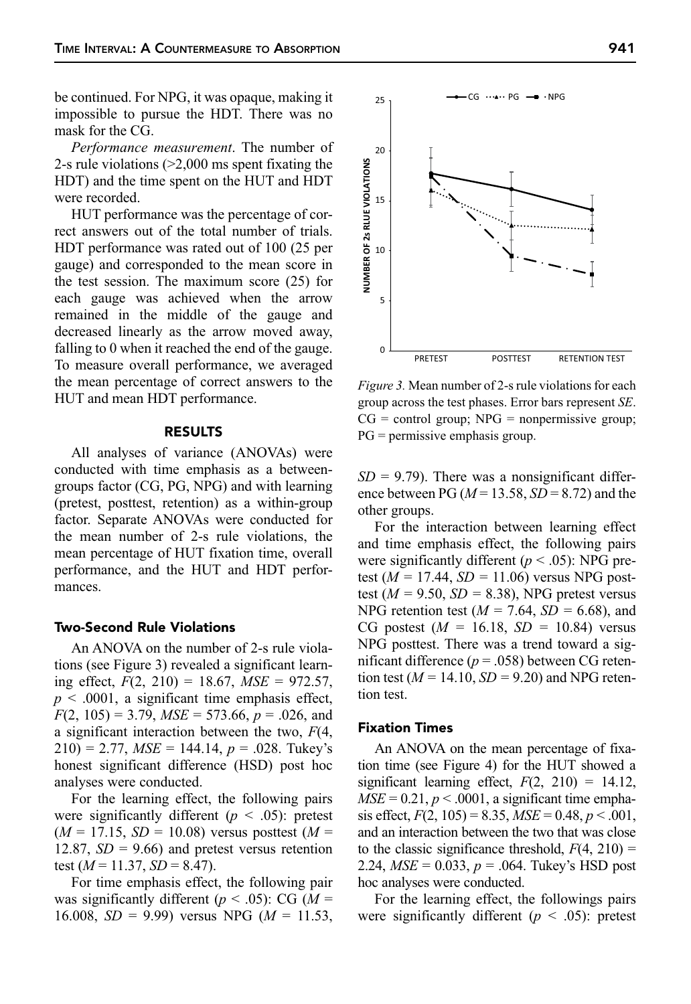be continued. For NPG, it was opaque, making it impossible to pursue the HDT. There was no mask for the CG.

*Performance measurement*. The number of 2-s rule violations (>2,000 ms spent fixating the HDT) and the time spent on the HUT and HDT were recorded.

HUT performance was the percentage of correct answers out of the total number of trials. HDT performance was rated out of 100 (25 per gauge) and corresponded to the mean score in the test session. The maximum score (25) for each gauge was achieved when the arrow remained in the middle of the gauge and decreased linearly as the arrow moved away, falling to 0 when it reached the end of the gauge. To measure overall performance, we averaged the mean percentage of correct answers to the HUT and mean HDT performance.

#### RESULTS

All analyses of variance (ANOVAs) were conducted with time emphasis as a betweengroups factor (CG, PG, NPG) and with learning (pretest, posttest, retention) as a within-group factor. Separate ANOVAs were conducted for the mean number of 2-s rule violations, the mean percentage of HUT fixation time, overall performance, and the HUT and HDT performances.

## Two-Second Rule Violations

An ANOVA on the number of 2-s rule violations (see Figure 3) revealed a significant learning effect, *F*(2, 210) = 18.67, *MSE* = 972.57,  $p \leq 0.0001$ , a significant time emphasis effect, *F*(2, 105) = 3.79, *MSE* = 573.66, *p* = .026, and a significant interaction between the two, *F*(4,  $210$ ) = 2.77,  $MSE = 144.14$ ,  $p = .028$ . Tukey's honest significant difference (HSD) post hoc analyses were conducted.

For the learning effect, the following pairs were significantly different  $(p < .05)$ : pretest  $(M = 17.15, SD = 10.08)$  versus posttest  $(M =$ 12.87,  $SD = 9.66$ ) and pretest versus retention test  $(M = 11.37, SD = 8.47)$ .

For time emphasis effect, the following pair was significantly different ( $p < .05$ ): CG ( $M =$ 16.008,  $SD = 9.99$ ) versus NPG ( $M = 11.53$ ,



 $\cdot$ CG  $\cdots$ PG  $\rightarrow$   $\cdot$ NPG

25

*Figure 3.* Mean number of 2-s rule violations for each group across the test phases. Error bars represent *SE*.  $CG = control group; NPG = nonpermissible group;$ PG = permissive emphasis group.

 $SD = 9.79$ ). There was a nonsignificant difference between PG ( $M = 13.58$ ,  $SD = 8.72$ ) and the other groups.

For the interaction between learning effect and time emphasis effect, the following pairs were significantly different  $(p < .05)$ : NPG pretest (*M =* 17.44, *SD =* 11.06) versus NPG posttest ( $M = 9.50$ ,  $SD = 8.38$ ), NPG pretest versus NPG retention test (*M =* 7.64, *SD =* 6.68), and CG postest  $(M = 16.18, SD = 10.84)$  versus NPG posttest. There was a trend toward a significant difference  $(p = .058)$  between CG retention test ( $M = 14.10$ ,  $SD = 9.20$ ) and NPG retention test.

## Fixation Times

An ANOVA on the mean percentage of fixation time (see Figure 4) for the HUT showed a significant learning effect,  $F(2, 210) = 14.12$ ,  $MSE = 0.21, p < .0001$ , a significant time emphasis effect,  $F(2, 105) = 8.35$ ,  $MSE = 0.48$ ,  $p < .001$ , and an interaction between the two that was close to the classic significance threshold,  $F(4, 210) =$ 2.24, *MSE* = 0.033, *p* = .064. Tukey's HSD post hoc analyses were conducted.

For the learning effect, the followings pairs were significantly different  $(p < .05)$ : pretest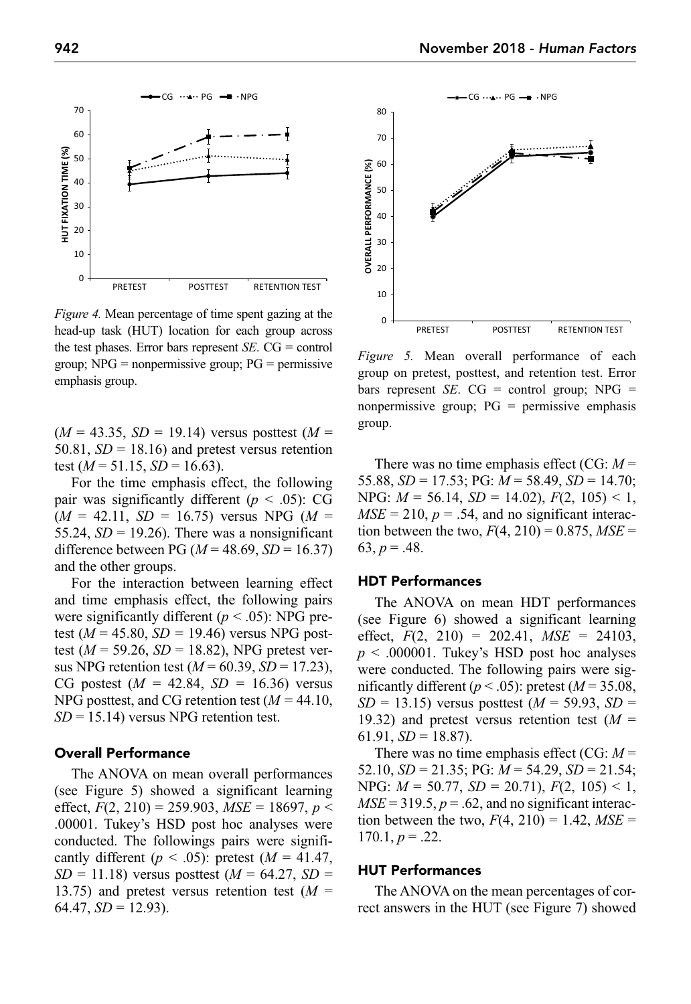

*Figure 4.* Mean percentage of time spent gazing at the head-up task (HUT) location for each group across the test phases. Error bars represent *SE*. CG = control group;  $NPG = nonpermissive group$ ;  $PG = permissive$ emphasis group.

 $(M = 43.35, SD = 19.14)$  versus posttest  $(M =$ 50.81,  $SD = 18.16$ ) and pretest versus retention test  $(M = 51.15, SD = 16.63)$ .

For the time emphasis effect, the following pair was significantly different  $(p < .05)$ : CG  $(M = 42.11, SD = 16.75)$  versus NPG  $(M =$ 55.24,  $SD = 19.26$ ). There was a nonsignificant difference between PG ( $M = 48.69$ ,  $SD = 16.37$ ) and the other groups.

For the interaction between learning effect and time emphasis effect, the following pairs were significantly different  $(p < .05)$ : NPG pretest ( $M = 45.80$ ,  $SD = 19.46$ ) versus NPG posttest ( $M = 59.26$ ,  $SD = 18.82$ ), NPG pretest versus NPG retention test ( $M = 60.39$ ,  $SD = 17.23$ ), CG postest (*M =* 42.84, *SD =* 16.36) versus NPG posttest, and CG retention test (*M =* 44.10, *SD* = 15.14) versus NPG retention test.

## Overall Performance

The ANOVA on mean overall performances (see Figure 5) showed a significant learning effect,  $F(2, 210) = 259.903$ ,  $MSE = 18697$ ,  $p <$ .00001. Tukey's HSD post hoc analyses were conducted. The followings pairs were significantly different ( $p < .05$ ): pretest ( $M = 41.47$ ,  $SD = 11.18$ ) versus posttest ( $M = 64.27$ ,  $SD =$ 13.75) and pretest versus retention test (*M* =  $64.47, SD = 12.93$ ).



*Figure 5.* Mean overall performance of each group on pretest, posttest, and retention test. Error bars represent *SE*. CG = control group; NPG = nonpermissive group; PG = permissive emphasis group.

There was no time emphasis effect (CG: *M* = 55.88, *SD* = 17.53; PG: *M* = 58.49, *SD* = 14.70; NPG: *M* = 56.14, *SD* = 14.02), *F*(2, 105) < 1,  $MSE = 210$ ,  $p = .54$ , and no significant interaction between the two,  $F(4, 210) = 0.875$ ,  $MSE =$ 63,  $p = .48$ .

#### HDT Performances

The ANOVA on mean HDT performances (see Figure 6) showed a significant learning effect,  $F(2, 210) = 202.41$ ,  $MSE = 24103$ ,  $p \leq 0.000001$ . Tukey's HSD post hoc analyses were conducted. The following pairs were significantly different ( $p < .05$ ): pretest ( $M = 35.08$ , *SD* = 13.15) versus posttest (*M* = 59.93, *SD* = 19.32) and pretest versus retention test (*M* = 61.91,  $SD = 18.87$ ).

There was no time emphasis effect (CG: *M* = 52.10, *SD* = 21.35; PG: *M* = 54.29, *SD* = 21.54; NPG: *M* = 50.77, *SD* = 20.71), *F*(2, 105) < 1,  $MSE = 319.5, p = .62$ , and no significant interaction between the two,  $F(4, 210) = 1.42$ ,  $MSE =$  $170.1, p = .22.$ 

## HUT Performances

The ANOVA on the mean percentages of correct answers in the HUT (see Figure 7) showed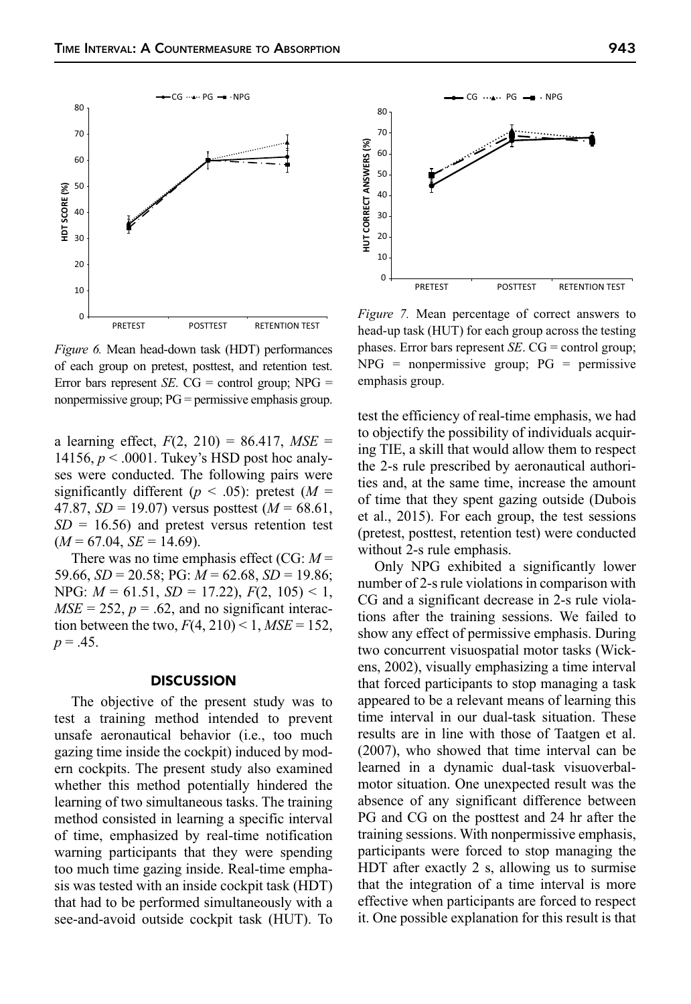$-CG \cdots PG - NPG$ 



**HDT SCORE (%)**

HDT SCORE (%)

a learning effect,  $F(2, 210) = 86.417$ ,  $MSE =$ 14156,  $p < .0001$ . Tukey's HSD post hoc analyses were conducted. The following pairs were significantly different ( $p < .05$ ): pretest ( $M =$ 47.87,  $SD = 19.07$ ) versus posttest ( $M = 68.61$ ,  $SD = 16.56$ ) and pretest versus retention test  $(M = 67.04, SE = 14.69)$ .

There was no time emphasis effect (CG: *M* = 59.66, *SD* = 20.58; PG: *M* = 62.68, *SD* = 19.86; NPG: *M* = 61.51, *SD* = 17.22), *F*(2, 105) < 1,  $MSE = 252$ ,  $p = .62$ , and no significant interaction between the two,  $F(4, 210) < 1$ ,  $MSE = 152$ ,  $p = .45$ .

#### **DISCUSSION**

The objective of the present study was to test a training method intended to prevent unsafe aeronautical behavior (i.e., too much gazing time inside the cockpit) induced by modern cockpits. The present study also examined whether this method potentially hindered the learning of two simultaneous tasks. The training method consisted in learning a specific interval of time, emphasized by real-time notification warning participants that they were spending too much time gazing inside. Real-time emphasis was tested with an inside cockpit task (HDT) that had to be performed simultaneously with a see-and-avoid outside cockpit task (HUT). To

*Figure 7.* Mean percentage of correct answers to head-up task (HUT) for each group across the testing phases. Error bars represent *SE*. CG = control group;  $NPG = nonpermissive group; PG = permissive$ emphasis group.

test the efficiency of real-time emphasis, we had to objectify the possibility of individuals acquiring TIE, a skill that would allow them to respect the 2-s rule prescribed by aeronautical authorities and, at the same time, increase the amount of time that they spent gazing outside (Dubois et al., 2015). For each group, the test sessions (pretest, posttest, retention test) were conducted without 2-s rule emphasis.

Only NPG exhibited a significantly lower number of 2-s rule violations in comparison with CG and a significant decrease in 2-s rule violations after the training sessions. We failed to show any effect of permissive emphasis. During two concurrent visuospatial motor tasks (Wickens, 2002), visually emphasizing a time interval that forced participants to stop managing a task appeared to be a relevant means of learning this time interval in our dual-task situation. These results are in line with those of Taatgen et al. (2007), who showed that time interval can be learned in a dynamic dual-task visuoverbalmotor situation. One unexpected result was the absence of any significant difference between PG and CG on the posttest and 24 hr after the training sessions. With nonpermissive emphasis, participants were forced to stop managing the HDT after exactly 2 s, allowing us to surmise that the integration of a time interval is more effective when participants are forced to respect it. One possible explanation for this result is that

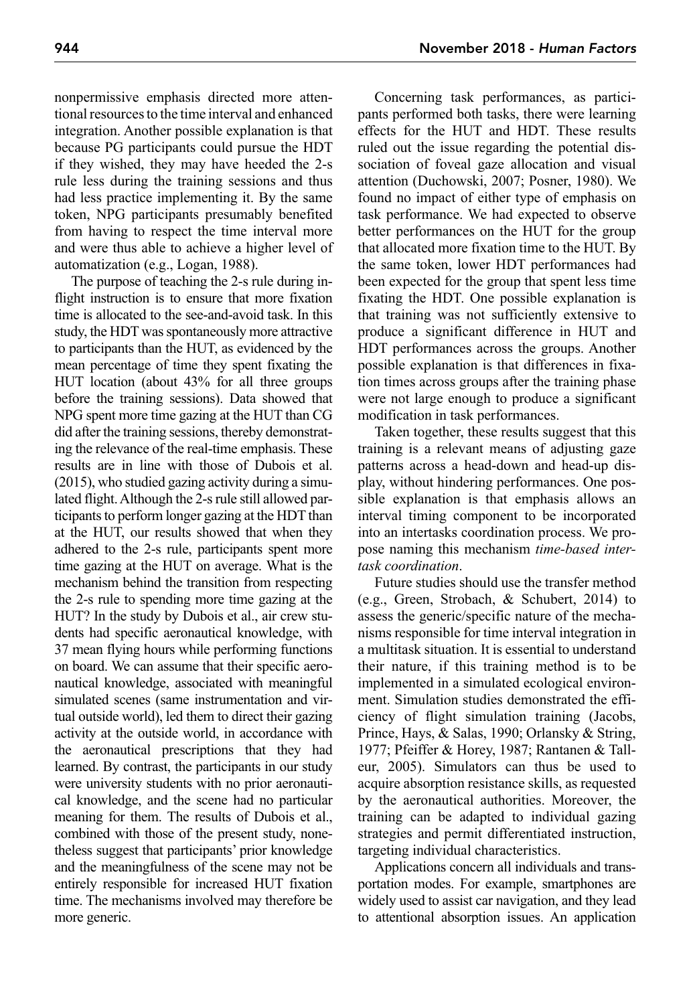nonpermissive emphasis directed more attentional resources to the time interval and enhanced integration. Another possible explanation is that because PG participants could pursue the HDT if they wished, they may have heeded the 2-s rule less during the training sessions and thus had less practice implementing it. By the same token, NPG participants presumably benefited from having to respect the time interval more and were thus able to achieve a higher level of automatization (e.g., Logan, 1988).

The purpose of teaching the 2-s rule during inflight instruction is to ensure that more fixation time is allocated to the see-and-avoid task. In this study, the HDT was spontaneously more attractive to participants than the HUT, as evidenced by the mean percentage of time they spent fixating the HUT location (about 43% for all three groups before the training sessions). Data showed that NPG spent more time gazing at the HUT than CG did after the training sessions, thereby demonstrating the relevance of the real-time emphasis. These results are in line with those of Dubois et al. (2015), who studied gazing activity during a simulated flight. Although the 2-s rule still allowed participants to perform longer gazing at the HDT than at the HUT, our results showed that when they adhered to the 2-s rule, participants spent more time gazing at the HUT on average. What is the mechanism behind the transition from respecting the 2-s rule to spending more time gazing at the HUT? In the study by Dubois et al., air crew students had specific aeronautical knowledge, with 37 mean flying hours while performing functions on board. We can assume that their specific aeronautical knowledge, associated with meaningful simulated scenes (same instrumentation and virtual outside world), led them to direct their gazing activity at the outside world, in accordance with the aeronautical prescriptions that they had learned. By contrast, the participants in our study were university students with no prior aeronautical knowledge, and the scene had no particular meaning for them. The results of Dubois et al., combined with those of the present study, nonetheless suggest that participants' prior knowledge and the meaningfulness of the scene may not be entirely responsible for increased HUT fixation time. The mechanisms involved may therefore be more generic.

Concerning task performances, as participants performed both tasks, there were learning effects for the HUT and HDT. These results ruled out the issue regarding the potential dissociation of foveal gaze allocation and visual attention (Duchowski, 2007; Posner, 1980). We found no impact of either type of emphasis on task performance. We had expected to observe better performances on the HUT for the group that allocated more fixation time to the HUT. By the same token, lower HDT performances had been expected for the group that spent less time fixating the HDT. One possible explanation is that training was not sufficiently extensive to produce a significant difference in HUT and HDT performances across the groups. Another possible explanation is that differences in fixation times across groups after the training phase were not large enough to produce a significant modification in task performances.

Taken together, these results suggest that this training is a relevant means of adjusting gaze patterns across a head-down and head-up display, without hindering performances. One possible explanation is that emphasis allows an interval timing component to be incorporated into an intertasks coordination process. We propose naming this mechanism *time-based intertask coordination*.

Future studies should use the transfer method (e.g., Green, Strobach, & Schubert, 2014) to assess the generic/specific nature of the mechanisms responsible for time interval integration in a multitask situation. It is essential to understand their nature, if this training method is to be implemented in a simulated ecological environment. Simulation studies demonstrated the efficiency of flight simulation training (Jacobs, Prince, Hays, & Salas, 1990; Orlansky & String, 1977; Pfeiffer & Horey, 1987; Rantanen & Talleur, 2005). Simulators can thus be used to acquire absorption resistance skills, as requested by the aeronautical authorities. Moreover, the training can be adapted to individual gazing strategies and permit differentiated instruction, targeting individual characteristics.

Applications concern all individuals and transportation modes. For example, smartphones are widely used to assist car navigation, and they lead to attentional absorption issues. An application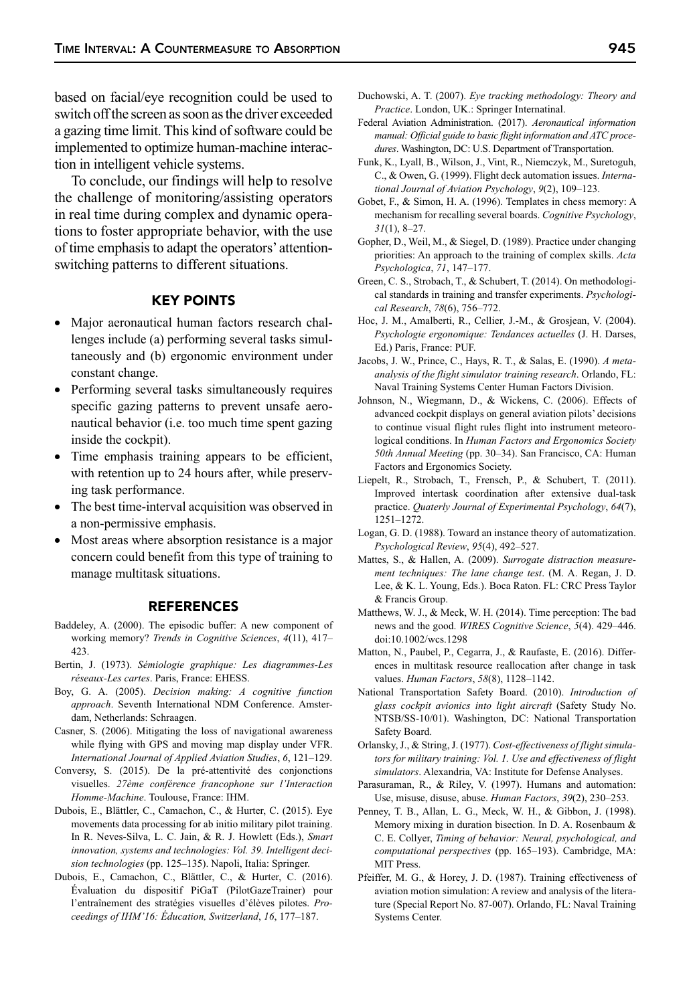based on facial/eye recognition could be used to switch off the screen as soon as the driver exceeded a gazing time limit. This kind of software could be implemented to optimize human-machine interaction in intelligent vehicle systems.

To conclude, our findings will help to resolve the challenge of monitoring/assisting operators in real time during complex and dynamic operations to foster appropriate behavior, with the use of time emphasis to adapt the operators' attentionswitching patterns to different situations.

# KEY POINTS

- Major aeronautical human factors research challenges include (a) performing several tasks simultaneously and (b) ergonomic environment under constant change.
- Performing several tasks simultaneously requires specific gazing patterns to prevent unsafe aeronautical behavior (i.e. too much time spent gazing inside the cockpit).
- Time emphasis training appears to be efficient, with retention up to 24 hours after, while preserving task performance.
- The best time-interval acquisition was observed in a non-permissive emphasis.
- Most areas where absorption resistance is a major concern could benefit from this type of training to manage multitask situations.

#### REFERENCES

- Baddeley, A. (2000). The episodic buffer: A new component of working memory? *Trends in Cognitive Sciences*, *4*(11), 417– 423.
- Bertin, J. (1973). *Sémiologie graphique: Les diagrammes-Les réseaux-Les cartes*. Paris, France: EHESS.
- Boy, G. A. (2005). *Decision making: A cognitive function approach*. Seventh International NDM Conference. Amsterdam, Netherlands: Schraagen.
- Casner, S. (2006). Mitigating the loss of navigational awareness while flying with GPS and moving map display under VFR. *International Journal of Applied Aviation Studies*, *6*, 121–129.
- Conversy, S. (2015). De la pré-attentivité des conjonctions visuelles. *27ème conférence francophone sur l'Interaction Homme-Machine*. Toulouse, France: IHM.
- Dubois, E., Blättler, C., Camachon, C., & Hurter, C. (2015). Eye movements data processing for ab initio military pilot training. In R. Neves-Silva, L. C. Jain, & R. J. Howlett (Eds.), *Smart innovation, systems and technologies: Vol. 39. Intelligent decision technologies* (pp. 125–135). Napoli, Italia: Springer.
- Dubois, E., Camachon, C., Blättler, C., & Hurter, C. (2016). Évaluation du dispositif PiGaT (PilotGazeTrainer) pour l'entraînement des stratégies visuelles d'élèves pilotes. *Proceedings of IHM'16: Éducation, Switzerland*, *16*, 177–187.
- Duchowski, A. T. (2007). *Eye tracking methodology: Theory and Practice*. London, UK.: Springer Internatinal.
- Federal Aviation Administration. (2017). *Aeronautical information manual: Official guide to basic flight information and ATC procedures*. Washington, DC: U.S. Department of Transportation.
- Funk, K., Lyall, B., Wilson, J., Vint, R., Niemczyk, M., Suretoguh, C., & Owen, G. (1999). Flight deck automation issues. *International Journal of Aviation Psychology*, *9*(2), 109–123.
- Gobet, F., & Simon, H. A. (1996). Templates in chess memory: A mechanism for recalling several boards. *Cognitive Psychology*, *31*(1), 8–27.
- Gopher, D., Weil, M., & Siegel, D. (1989). Practice under changing priorities: An approach to the training of complex skills. *Acta Psychologica*, *71*, 147–177.
- Green, C. S., Strobach, T., & Schubert, T. (2014). On methodological standards in training and transfer experiments. *Psychological Research*, *78*(6), 756–772.
- Hoc, J. M., Amalberti, R., Cellier, J.-M., & Grosjean, V. (2004). *Psychologie ergonomique: Tendances actuelles* (J. H. Darses, Ed.) Paris, France: PUF.
- Jacobs, J. W., Prince, C., Hays, R. T., & Salas, E. (1990). *A metaanalysis of the flight simulator training research*. Orlando, FL: Naval Training Systems Center Human Factors Division.
- Johnson, N., Wiegmann, D., & Wickens, C. (2006). Effects of advanced cockpit displays on general aviation pilots' decisions to continue visual flight rules flight into instrument meteorological conditions. In *Human Factors and Ergonomics Society 50th Annual Meeting* (pp. 30–34). San Francisco, CA: Human Factors and Ergonomics Society.
- Liepelt, R., Strobach, T., Frensch, P., & Schubert, T. (2011). Improved intertask coordination after extensive dual-task practice. *Quaterly Journal of Experimental Psychology*, *64*(7), 1251–1272.
- Logan, G. D. (1988). Toward an instance theory of automatization. *Psychological Review*, *95*(4), 492–527.
- Mattes, S., & Hallen, A. (2009). *Surrogate distraction measurement techniques: The lane change test*. (M. A. Regan, J. D. Lee, & K. L. Young, Eds.). Boca Raton. FL: CRC Press Taylor & Francis Group.
- Matthews, W. J., & Meck, W. H. (2014). Time perception: The bad news and the good. *WIRES Cognitive Science*, *5*(4). 429–446. doi:10.1002/wcs.1298
- Matton, N., Paubel, P., Cegarra, J., & Raufaste, E. (2016). Differences in multitask resource reallocation after change in task values. *Human Factors*, *58*(8), 1128–1142.
- National Transportation Safety Board. (2010). *Introduction of glass cockpit avionics into light aircraft* (Safety Study No. NTSB/SS-10/01). Washington, DC: National Transportation Safety Board.
- Orlansky, J., & String, J. (1977). *Cost-effectiveness of flight simulators for military training: Vol. 1. Use and effectiveness of flight simulators*. Alexandria, VA: Institute for Defense Analyses.
- Parasuraman, R., & Riley, V. (1997). Humans and automation: Use, misuse, disuse, abuse. *Human Factors*, *39*(2), 230–253.
- Penney, T. B., Allan, L. G., Meck, W. H., & Gibbon, J. (1998). Memory mixing in duration bisection. In D. A. Rosenbaum & C. E. Collyer, *Timing of behavior: Neural, psychological, and computational perspectives* (pp. 165–193). Cambridge, MA: MIT Press.
- Pfeiffer, M. G., & Horey, J. D. (1987). Training effectiveness of aviation motion simulation: A review and analysis of the literature (Special Report No. 87-007). Orlando, FL: Naval Training Systems Center.